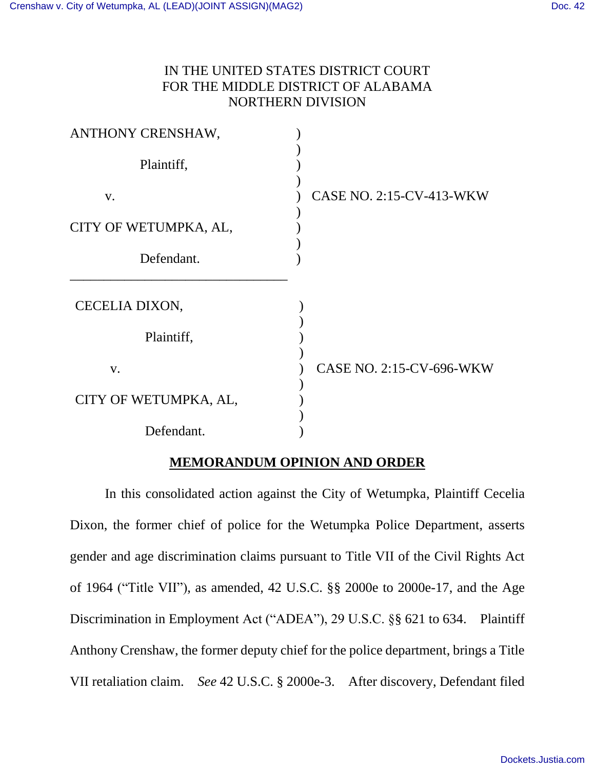# IN THE UNITED STATES DISTRICT COURT FOR THE MIDDLE DISTRICT OF ALABAMA NORTHERN DIVISION

| ANTHONY CRENSHAW,     |                          |
|-----------------------|--------------------------|
| Plaintiff,            |                          |
| V.                    | CASE NO. 2:15-CV-413-WKW |
| CITY OF WETUMPKA, AL, |                          |
| Defendant.            |                          |
| CECELIA DIXON,        |                          |
| Plaintiff,            |                          |
| V.                    | CASE NO. 2:15-CV-696-WKW |
| CITY OF WETUMPKA, AL, |                          |
| Defendant.            |                          |

# **MEMORANDUM OPINION AND ORDER**

In this consolidated action against the City of Wetumpka, Plaintiff Cecelia Dixon, the former chief of police for the Wetumpka Police Department, asserts gender and age discrimination claims pursuant to Title VII of the Civil Rights Act of 1964 ("Title VII"), as amended, 42 U.S.C. §§ 2000e to 2000e-17, and the Age Discrimination in Employment Act ("ADEA"), 29 U.S.C. §§ 621 to 634. Plaintiff Anthony Crenshaw, the former deputy chief for the police department, brings a Title VII retaliation claim. *See* 42 U.S.C. § 2000e-3. After discovery, Defendant filed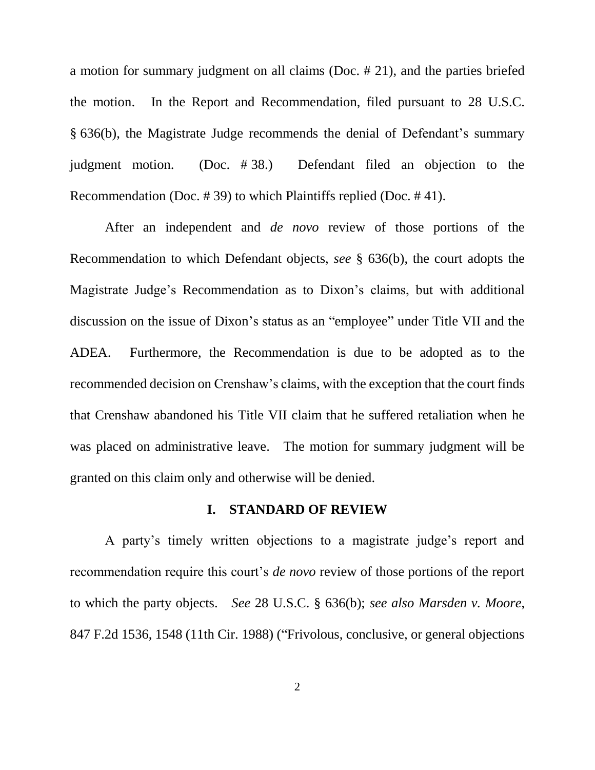a motion for summary judgment on all claims (Doc. # 21), and the parties briefed the motion. In the Report and Recommendation, filed pursuant to 28 U.S.C. § 636(b), the Magistrate Judge recommends the denial of Defendant's summary judgment motion. (Doc. # 38.) Defendant filed an objection to the Recommendation (Doc. # 39) to which Plaintiffs replied (Doc. # 41).

After an independent and *de novo* review of those portions of the Recommendation to which Defendant objects, *see* § 636(b), the court adopts the Magistrate Judge's Recommendation as to Dixon's claims, but with additional discussion on the issue of Dixon's status as an "employee" under Title VII and the ADEA. Furthermore, the Recommendation is due to be adopted as to the recommended decision on Crenshaw's claims, with the exception that the court finds that Crenshaw abandoned his Title VII claim that he suffered retaliation when he was placed on administrative leave. The motion for summary judgment will be granted on this claim only and otherwise will be denied.

## **I. STANDARD OF REVIEW**

A party's timely written objections to a magistrate judge's report and recommendation require this court's *de novo* review of those portions of the report to which the party objects. *See* 28 U.S.C. § 636(b); *see also Marsden v. Moore*, 847 F.2d 1536, 1548 (11th Cir. 1988) ("Frivolous, conclusive, or general objections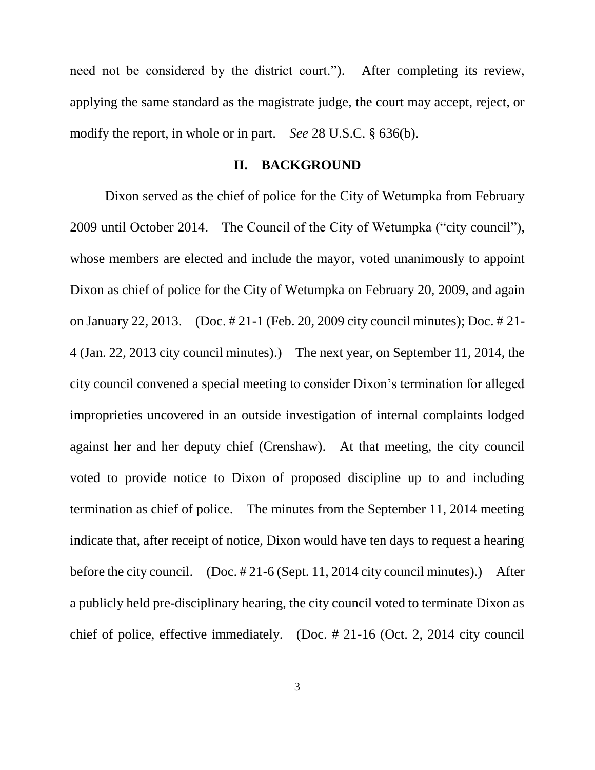need not be considered by the district court."). After completing its review, applying the same standard as the magistrate judge, the court may accept, reject, or modify the report, in whole or in part. *See* 28 U.S.C. § 636(b).

#### **II. BACKGROUND**

Dixon served as the chief of police for the City of Wetumpka from February 2009 until October 2014. The Council of the City of Wetumpka ("city council"), whose members are elected and include the mayor, voted unanimously to appoint Dixon as chief of police for the City of Wetumpka on February 20, 2009, and again on January 22, 2013. (Doc. # 21-1 (Feb. 20, 2009 city council minutes); Doc. # 21- 4 (Jan. 22, 2013 city council minutes).) The next year, on September 11, 2014, the city council convened a special meeting to consider Dixon's termination for alleged improprieties uncovered in an outside investigation of internal complaints lodged against her and her deputy chief (Crenshaw). At that meeting, the city council voted to provide notice to Dixon of proposed discipline up to and including termination as chief of police. The minutes from the September 11, 2014 meeting indicate that, after receipt of notice, Dixon would have ten days to request a hearing before the city council. (Doc. # 21-6 (Sept. 11, 2014 city council minutes).) After a publicly held pre-disciplinary hearing, the city council voted to terminate Dixon as chief of police, effective immediately. (Doc. # 21-16 (Oct. 2, 2014 city council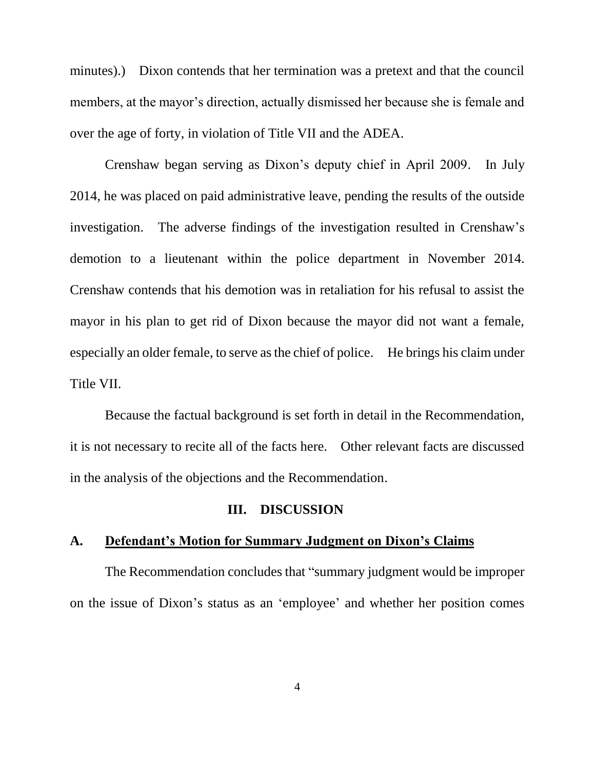minutes).) Dixon contends that her termination was a pretext and that the council members, at the mayor's direction, actually dismissed her because she is female and over the age of forty, in violation of Title VII and the ADEA.

Crenshaw began serving as Dixon's deputy chief in April 2009. In July 2014, he was placed on paid administrative leave, pending the results of the outside investigation. The adverse findings of the investigation resulted in Crenshaw's demotion to a lieutenant within the police department in November 2014. Crenshaw contends that his demotion was in retaliation for his refusal to assist the mayor in his plan to get rid of Dixon because the mayor did not want a female, especially an older female, to serve as the chief of police. He brings his claim under Title VII.

Because the factual background is set forth in detail in the Recommendation, it is not necessary to recite all of the facts here. Other relevant facts are discussed in the analysis of the objections and the Recommendation.

## **III. DISCUSSION**

# **A. Defendant's Motion for Summary Judgment on Dixon's Claims**

The Recommendation concludes that "summary judgment would be improper on the issue of Dixon's status as an 'employee' and whether her position comes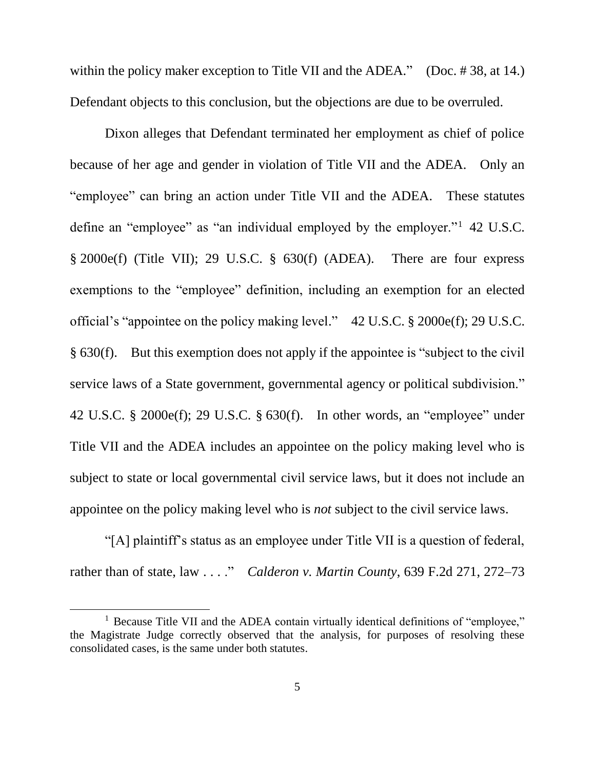within the policy maker exception to Title VII and the ADEA." (Doc. #38, at 14.) Defendant objects to this conclusion, but the objections are due to be overruled.

Dixon alleges that Defendant terminated her employment as chief of police because of her age and gender in violation of Title VII and the ADEA. Only an "employee" can bring an action under Title VII and the ADEA. These statutes define an "employee" as "an individual employed by the employer."<sup>1</sup> 42 U.S.C. § 2000e(f) (Title VII); 29 U.S.C. § 630(f) (ADEA). There are four express exemptions to the "employee" definition, including an exemption for an elected official's "appointee on the policy making level." 42 U.S.C. § 2000e(f); 29 U.S.C. § 630(f). But this exemption does not apply if the appointee is "subject to the civil service laws of a State government, governmental agency or political subdivision." 42 U.S.C. § 2000e(f); 29 U.S.C. § 630(f). In other words, an "employee" under Title VII and the ADEA includes an appointee on the policy making level who is subject to state or local governmental civil service laws, but it does not include an appointee on the policy making level who is *not* subject to the civil service laws.

"[A] plaintiff's status as an employee under Title VII is a question of federal, rather than of state, law . . . ." *Calderon v. Martin County*, 639 F.2d 271, 272–73

<sup>&</sup>lt;sup>1</sup> Because Title VII and the ADEA contain virtually identical definitions of "employee," the Magistrate Judge correctly observed that the analysis, for purposes of resolving these consolidated cases, is the same under both statutes.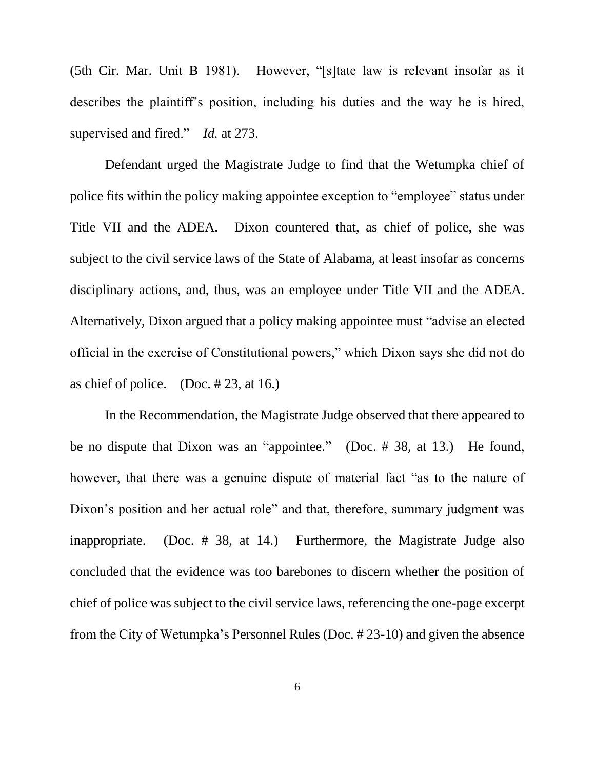(5th Cir. Mar. Unit B 1981). However, "[s]tate law is relevant insofar as it describes the plaintiff's position, including his duties and the way he is hired, supervised and fired." *Id.* at 273.

Defendant urged the Magistrate Judge to find that the Wetumpka chief of police fits within the policy making appointee exception to "employee" status under Title VII and the ADEA. Dixon countered that, as chief of police, she was subject to the civil service laws of the State of Alabama, at least insofar as concerns disciplinary actions, and, thus, was an employee under Title VII and the ADEA. Alternatively, Dixon argued that a policy making appointee must "advise an elected official in the exercise of Constitutional powers," which Dixon says she did not do as chief of police. (Doc.  $\# 23$ , at 16.)

In the Recommendation, the Magistrate Judge observed that there appeared to be no dispute that Dixon was an "appointee." (Doc. # 38, at 13.) He found, however, that there was a genuine dispute of material fact "as to the nature of Dixon's position and her actual role" and that, therefore, summary judgment was inappropriate. (Doc. # 38, at 14.) Furthermore, the Magistrate Judge also concluded that the evidence was too barebones to discern whether the position of chief of police was subject to the civil service laws, referencing the one-page excerpt from the City of Wetumpka's Personnel Rules (Doc. # 23-10) and given the absence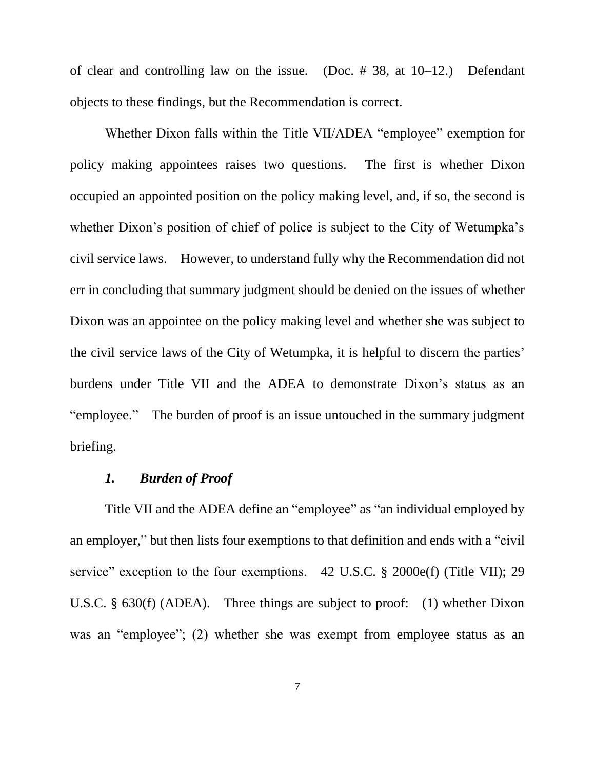of clear and controlling law on the issue. (Doc. # 38, at 10–12.) Defendant objects to these findings, but the Recommendation is correct.

Whether Dixon falls within the Title VII/ADEA "employee" exemption for policy making appointees raises two questions. The first is whether Dixon occupied an appointed position on the policy making level, and, if so, the second is whether Dixon's position of chief of police is subject to the City of Wetumpka's civil service laws. However, to understand fully why the Recommendation did not err in concluding that summary judgment should be denied on the issues of whether Dixon was an appointee on the policy making level and whether she was subject to the civil service laws of the City of Wetumpka, it is helpful to discern the parties' burdens under Title VII and the ADEA to demonstrate Dixon's status as an "employee." The burden of proof is an issue untouched in the summary judgment briefing.

# *1. Burden of Proof*

Title VII and the ADEA define an "employee" as "an individual employed by an employer," but then lists four exemptions to that definition and ends with a "civil service" exception to the four exemptions. 42 U.S.C. § 2000e(f) (Title VII); 29 U.S.C. § 630(f) (ADEA). Three things are subject to proof: (1) whether Dixon was an "employee"; (2) whether she was exempt from employee status as an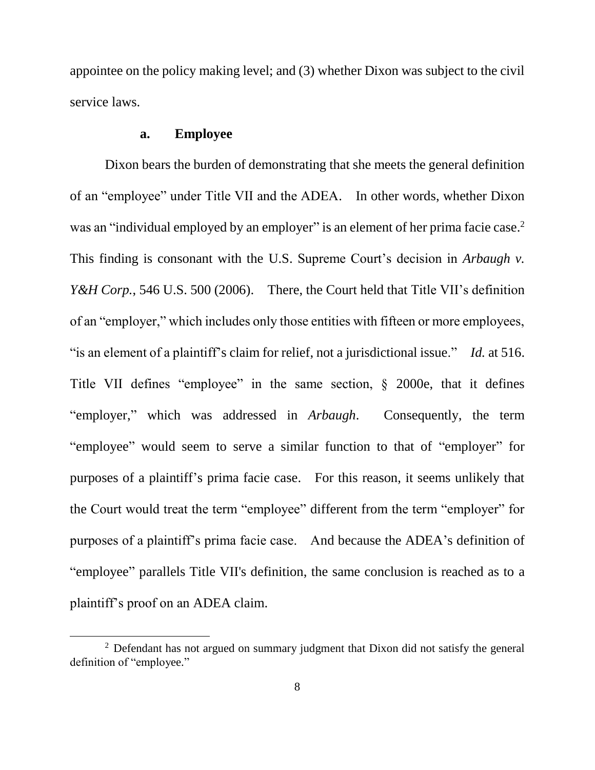appointee on the policy making level; and (3) whether Dixon was subject to the civil service laws.

## **a. Employee**

 $\overline{a}$ 

Dixon bears the burden of demonstrating that she meets the general definition of an "employee" under Title VII and the ADEA. In other words, whether Dixon was an "individual employed by an employer" is an element of her prima facie case.<sup>2</sup> This finding is consonant with the U.S. Supreme Court's decision in *Arbaugh v. Y&H Corp.*, 546 U.S. 500 (2006). There, the Court held that Title VII's definition of an "employer," which includes only those entities with fifteen or more employees, "is an element of a plaintiff's claim for relief, not a jurisdictional issue." *Id.* at 516. Title VII defines "employee" in the same section, § 2000e, that it defines "employer," which was addressed in *Arbaugh*. Consequently, the term "employee" would seem to serve a similar function to that of "employer" for purposes of a plaintiff's prima facie case. For this reason, it seems unlikely that the Court would treat the term "employee" different from the term "employer" for purposes of a plaintiff's prima facie case. And because the ADEA's definition of "employee" parallels Title VII's definition, the same conclusion is reached as to a plaintiff's proof on an ADEA claim.

<sup>&</sup>lt;sup>2</sup> Defendant has not argued on summary judgment that Dixon did not satisfy the general definition of "employee."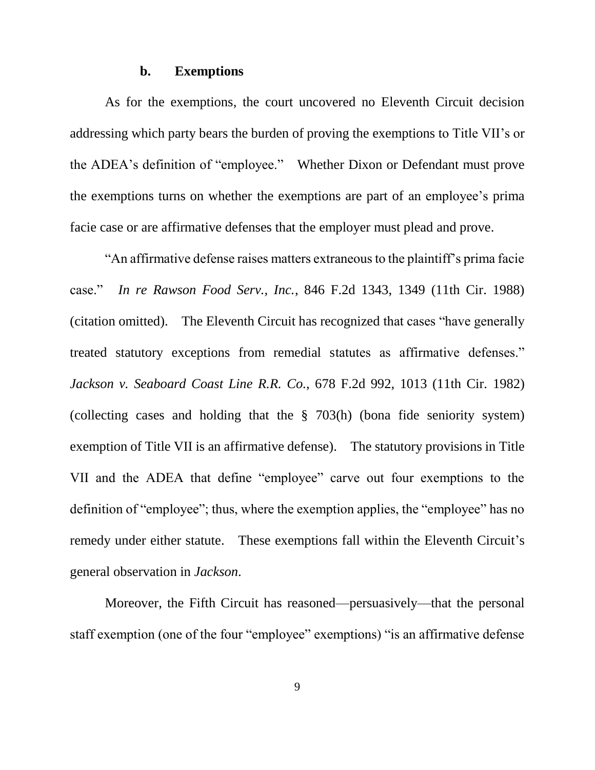#### **b. Exemptions**

As for the exemptions, the court uncovered no Eleventh Circuit decision addressing which party bears the burden of proving the exemptions to Title VII's or the ADEA's definition of "employee." Whether Dixon or Defendant must prove the exemptions turns on whether the exemptions are part of an employee's prima facie case or are affirmative defenses that the employer must plead and prove.

"An affirmative defense raises matters extraneous to the plaintiff's prima facie case." *In re Rawson Food Serv., Inc.*, 846 F.2d 1343, 1349 (11th Cir. 1988) (citation omitted). The Eleventh Circuit has recognized that cases "have generally treated statutory exceptions from remedial statutes as affirmative defenses." *Jackson v. Seaboard Coast Line R.R. Co.*, 678 F.2d 992, 1013 (11th Cir. 1982) (collecting cases and holding that the § 703(h) (bona fide seniority system) exemption of Title VII is an affirmative defense). The statutory provisions in Title VII and the ADEA that define "employee" carve out four exemptions to the definition of "employee"; thus, where the exemption applies, the "employee" has no remedy under either statute. These exemptions fall within the Eleventh Circuit's general observation in *Jackson*.

Moreover, the Fifth Circuit has reasoned—persuasively—that the personal staff exemption (one of the four "employee" exemptions) "is an affirmative defense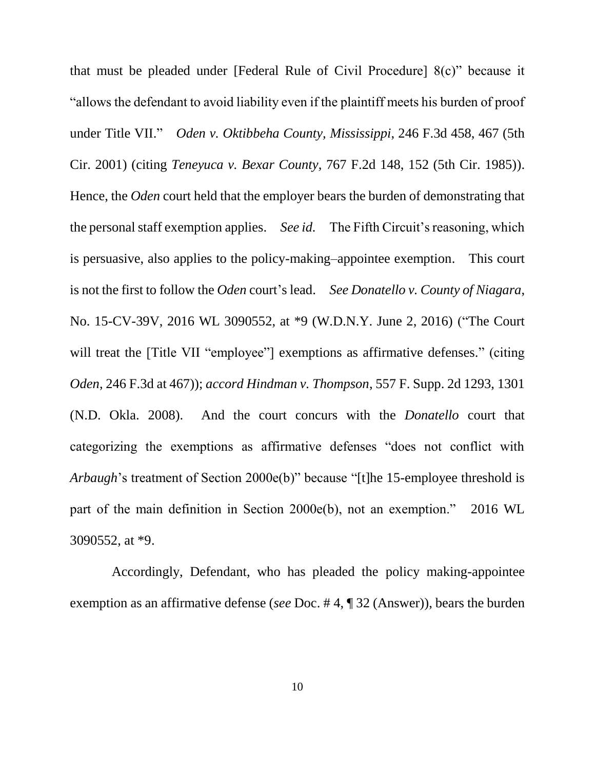that must be pleaded under [Federal Rule of Civil Procedure] 8(c)" because it "allows the defendant to avoid liability even if the plaintiff meets his burden of proof under Title VII." *Oden v. Oktibbeha County, Mississippi*, 246 F.3d 458, 467 (5th Cir. 2001) (citing *Teneyuca v. Bexar County*, 767 F.2d 148, 152 (5th Cir. 1985)). Hence, the *Oden* court held that the employer bears the burden of demonstrating that the personal staff exemption applies. *See id.* The Fifth Circuit's reasoning, which is persuasive, also applies to the policy-making–appointee exemption. This court is not the first to follow the *Oden* court's lead. *See Donatello v. County of Niagara*, No. 15-CV-39V, 2016 WL 3090552, at \*9 (W.D.N.Y. June 2, 2016) ("The Court will treat the [Title VII "employee"] exemptions as affirmative defenses." (citing *Oden*, 246 F.3d at 467)); *accord Hindman v. Thompson*, 557 F. Supp. 2d 1293, 1301 (N.D. Okla. 2008). And the court concurs with the *Donatello* court that categorizing the exemptions as affirmative defenses "does not conflict with *Arbaugh*'s treatment of Section 2000e(b)" because "[t]he 15-employee threshold is part of the main definition in Section 2000e(b), not an exemption." 2016 WL 3090552, at \*9.

Accordingly, Defendant, who has pleaded the policy making-appointee exemption as an affirmative defense (*see* Doc. # 4, ¶ 32 (Answer)), bears the burden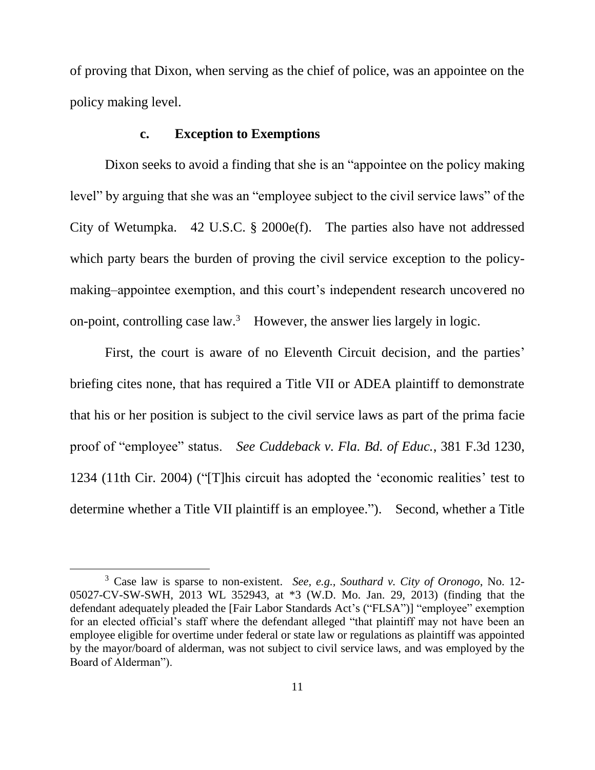of proving that Dixon, when serving as the chief of police, was an appointee on the policy making level.

## **c. Exception to Exemptions**

Dixon seeks to avoid a finding that she is an "appointee on the policy making level" by arguing that she was an "employee subject to the civil service laws" of the City of Wetumpka. 42 U.S.C. § 2000e(f). The parties also have not addressed which party bears the burden of proving the civil service exception to the policymaking–appointee exemption, and this court's independent research uncovered no on-point, controlling case  $law^3$  However, the answer lies largely in logic.

First, the court is aware of no Eleventh Circuit decision, and the parties' briefing cites none, that has required a Title VII or ADEA plaintiff to demonstrate that his or her position is subject to the civil service laws as part of the prima facie proof of "employee" status. *See Cuddeback v. Fla. Bd. of Educ.*, 381 F.3d 1230, 1234 (11th Cir. 2004) ("[T]his circuit has adopted the 'economic realities' test to determine whether a Title VII plaintiff is an employee."). Second, whether a Title

<sup>3</sup> Case law is sparse to non-existent. *See, e.g., Southard v. City of Oronogo*, No. 12- 05027-CV-SW-SWH, 2013 WL 352943, at \*3 (W.D. Mo. Jan. 29, 2013) (finding that the defendant adequately pleaded the [Fair Labor Standards Act's ("FLSA")] "employee" exemption for an elected official's staff where the defendant alleged "that plaintiff may not have been an employee eligible for overtime under federal or state law or regulations as plaintiff was appointed by the mayor/board of alderman, was not subject to civil service laws, and was employed by the Board of Alderman").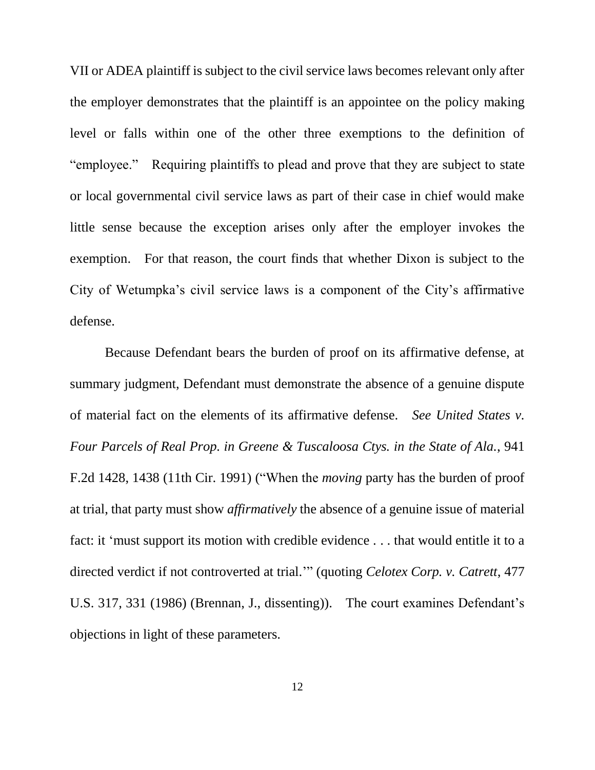VII or ADEA plaintiff is subject to the civil service laws becomes relevant only after the employer demonstrates that the plaintiff is an appointee on the policy making level or falls within one of the other three exemptions to the definition of "employee." Requiring plaintiffs to plead and prove that they are subject to state or local governmental civil service laws as part of their case in chief would make little sense because the exception arises only after the employer invokes the exemption. For that reason, the court finds that whether Dixon is subject to the City of Wetumpka's civil service laws is a component of the City's affirmative defense.

Because Defendant bears the burden of proof on its affirmative defense, at summary judgment, Defendant must demonstrate the absence of a genuine dispute of material fact on the elements of its affirmative defense. *See United States v. Four Parcels of Real Prop. in Greene & Tuscaloosa Ctys. in the State of Ala.*, 941 F.2d 1428, 1438 (11th Cir. 1991) ("When the *moving* party has the burden of proof at trial, that party must show *affirmatively* the absence of a genuine issue of material fact: it 'must support its motion with credible evidence . . . that would entitle it to a directed verdict if not controverted at trial.'" (quoting *Celotex Corp. v. Catrett*, 477 U.S. 317, 331 (1986) (Brennan, J., dissenting)). The court examines Defendant's objections in light of these parameters.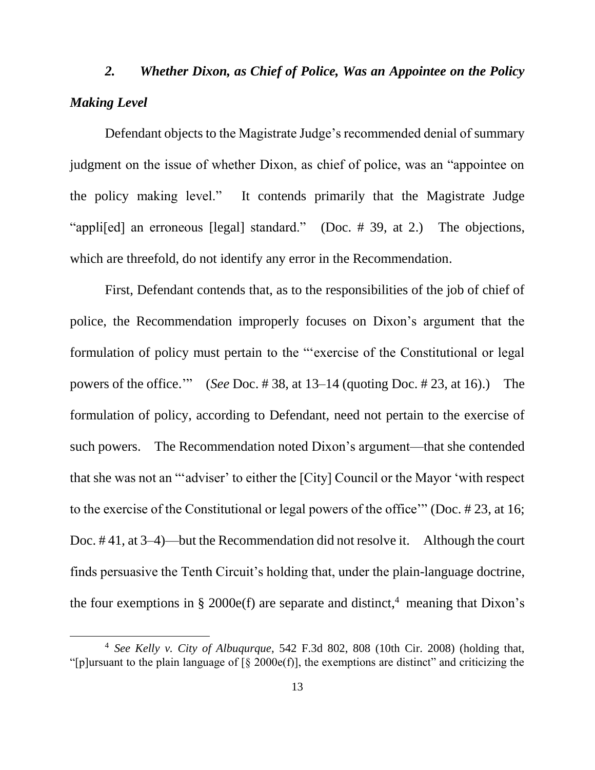# *2. Whether Dixon, as Chief of Police, Was an Appointee on the Policy Making Level*

Defendant objects to the Magistrate Judge's recommended denial of summary judgment on the issue of whether Dixon, as chief of police, was an "appointee on the policy making level." It contends primarily that the Magistrate Judge "appli[ed] an erroneous [legal] standard." (Doc. # 39, at 2.) The objections, which are threefold, do not identify any error in the Recommendation.

First, Defendant contends that, as to the responsibilities of the job of chief of police, the Recommendation improperly focuses on Dixon's argument that the formulation of policy must pertain to the "'exercise of the Constitutional or legal powers of the office.'" (*See* Doc. # 38, at 13–14 (quoting Doc. # 23, at 16).) The formulation of policy, according to Defendant, need not pertain to the exercise of such powers. The Recommendation noted Dixon's argument—that she contended that she was not an "'adviser' to either the [City] Council or the Mayor 'with respect to the exercise of the Constitutional or legal powers of the office'" (Doc. # 23, at 16; Doc. # 41, at 3–4)—but the Recommendation did not resolve it. Although the court finds persuasive the Tenth Circuit's holding that, under the plain-language doctrine, the four exemptions in § 2000e(f) are separate and distinct,<sup>4</sup> meaning that Dixon's

<sup>4</sup> *See Kelly v. City of Albuqurque*, 542 F.3d 802, 808 (10th Cir. 2008) (holding that, "[p]ursuant to the plain language of  $\lceil \xi \rceil 2000e(f)$ ], the exemptions are distinct" and criticizing the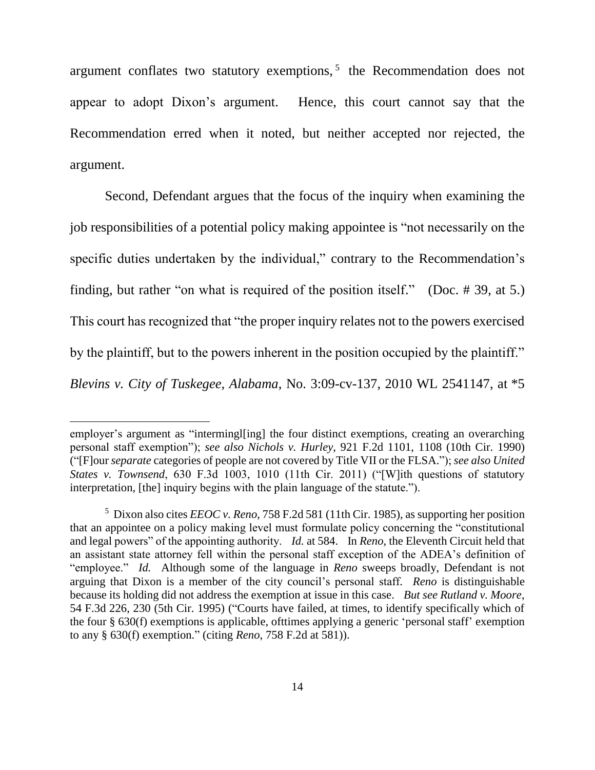argument conflates two statutory exemptions, $5$  the Recommendation does not appear to adopt Dixon's argument. Hence, this court cannot say that the Recommendation erred when it noted, but neither accepted nor rejected, the argument.

Second, Defendant argues that the focus of the inquiry when examining the job responsibilities of a potential policy making appointee is "not necessarily on the specific duties undertaken by the individual," contrary to the Recommendation's finding, but rather "on what is required of the position itself." (Doc. # 39, at 5.) This court has recognized that "the proper inquiry relates not to the powers exercised by the plaintiff, but to the powers inherent in the position occupied by the plaintiff." *Blevins v. City of Tuskegee, Alabama*, No. 3:09-cv-137, 2010 WL 2541147, at \*5

employer's argument as "intermingl[ing] the four distinct exemptions, creating an overarching personal staff exemption"); *see also Nichols v. Hurley*, 921 F.2d 1101, 1108 (10th Cir. 1990) ("[F]our *separate* categories of people are not covered by Title VII or the FLSA."); *see also United States v. Townsend*, 630 F.3d 1003, 1010 (11th Cir. 2011) ("[W]ith questions of statutory interpretation, [the] inquiry begins with the plain language of the statute.").

<sup>5</sup> Dixon also cites *EEOC v. Reno*, 758 F.2d 581 (11th Cir. 1985), as supporting her position that an appointee on a policy making level must formulate policy concerning the "constitutional and legal powers" of the appointing authority. *Id.* at 584. In *Reno*, the Eleventh Circuit held that an assistant state attorney fell within the personal staff exception of the ADEA's definition of "employee." *Id.* Although some of the language in *Reno* sweeps broadly, Defendant is not arguing that Dixon is a member of the city council's personal staff. *Reno* is distinguishable because its holding did not address the exemption at issue in this case. *But see Rutland v. Moore*, 54 F.3d 226, 230 (5th Cir. 1995) ("Courts have failed, at times, to identify specifically which of the four § 630(f) exemptions is applicable, ofttimes applying a generic 'personal staff' exemption to any § 630(f) exemption." (citing *Reno*, 758 F.2d at 581)).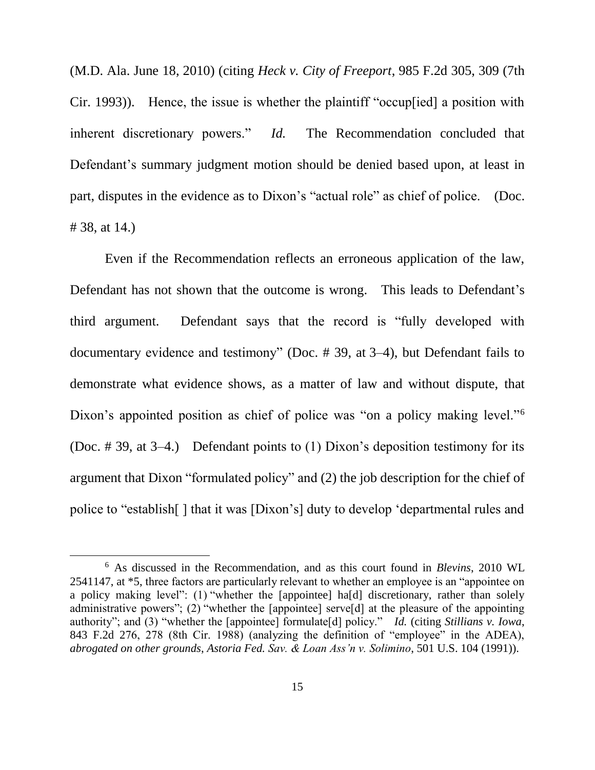(M.D. Ala. June 18, 2010) (citing *Heck v. City of Freeport*, 985 F.2d 305, 309 (7th Cir. 1993)). Hence, the issue is whether the plaintiff "occup[ied] a position with inherent discretionary powers." *Id.* The Recommendation concluded that Defendant's summary judgment motion should be denied based upon, at least in part, disputes in the evidence as to Dixon's "actual role" as chief of police. (Doc. # 38, at 14.)

Even if the Recommendation reflects an erroneous application of the law, Defendant has not shown that the outcome is wrong. This leads to Defendant's third argument. Defendant says that the record is "fully developed with documentary evidence and testimony" (Doc. # 39, at 3–4), but Defendant fails to demonstrate what evidence shows, as a matter of law and without dispute, that Dixon's appointed position as chief of police was "on a policy making level."<sup>6</sup> (Doc. # 39, at 3–4.) Defendant points to (1) Dixon's deposition testimony for its argument that Dixon "formulated policy" and (2) the job description for the chief of police to "establish[ ] that it was [Dixon's] duty to develop 'departmental rules and

<sup>6</sup> As discussed in the Recommendation, and as this court found in *Blevins*, 2010 WL 2541147, at \*5, three factors are particularly relevant to whether an employee is an "appointee on a policy making level": (1) "whether the [appointee] ha[d] discretionary, rather than solely administrative powers"; (2) "whether the [appointee] serve[d] at the pleasure of the appointing authority"; and (3) "whether the [appointee] formulate[d] policy." *Id.* (citing *Stillians v. Iowa*, 843 F.2d 276, 278 (8th Cir. 1988) (analyzing the definition of "employee" in the ADEA), *abrogated on other grounds*, *Astoria Fed. Sav. & Loan Ass'n v. Solimino*, 501 U.S. 104 (1991)).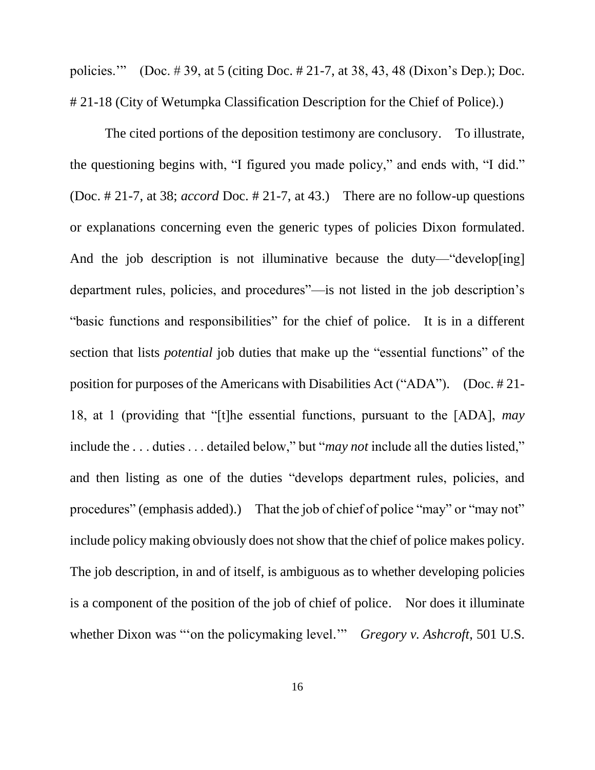policies.'" (Doc. # 39, at 5 (citing Doc. # 21-7, at 38, 43, 48 (Dixon's Dep.); Doc. # 21-18 (City of Wetumpka Classification Description for the Chief of Police).)

The cited portions of the deposition testimony are conclusory. To illustrate, the questioning begins with, "I figured you made policy," and ends with, "I did." (Doc. # 21-7, at 38; *accord* Doc. # 21-7, at 43.) There are no follow-up questions or explanations concerning even the generic types of policies Dixon formulated. And the job description is not illuminative because the duty—"develop [ing] department rules, policies, and procedures"—is not listed in the job description's "basic functions and responsibilities" for the chief of police. It is in a different section that lists *potential* job duties that make up the "essential functions" of the position for purposes of the Americans with Disabilities Act ("ADA"). (Doc. # 21- 18, at 1 (providing that "[t]he essential functions, pursuant to the [ADA], *may* include the . . . duties . . . detailed below," but "*may not* include all the duties listed," and then listing as one of the duties "develops department rules, policies, and procedures" (emphasis added).) That the job of chief of police "may" or "may not" include policy making obviously does not show that the chief of police makes policy. The job description, in and of itself, is ambiguous as to whether developing policies is a component of the position of the job of chief of police. Nor does it illuminate whether Dixon was "'on the policymaking level.'" *Gregory v. Ashcroft*, 501 U.S.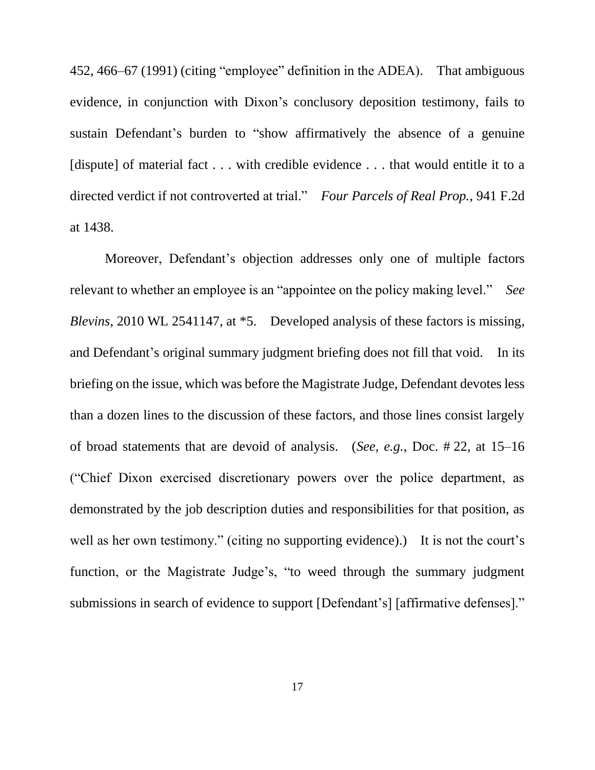452, 466–67 (1991) (citing "employee" definition in the ADEA). That ambiguous evidence, in conjunction with Dixon's conclusory deposition testimony, fails to sustain Defendant's burden to "show affirmatively the absence of a genuine [dispute] of material fact . . . with credible evidence . . . that would entitle it to a directed verdict if not controverted at trial." *Four Parcels of Real Prop.*, 941 F.2d at 1438.

Moreover, Defendant's objection addresses only one of multiple factors relevant to whether an employee is an "appointee on the policy making level." *See Blevins*, 2010 WL 2541147, at \*5. Developed analysis of these factors is missing, and Defendant's original summary judgment briefing does not fill that void. In its briefing on the issue, which was before the Magistrate Judge, Defendant devotes less than a dozen lines to the discussion of these factors, and those lines consist largely of broad statements that are devoid of analysis. (*See, e.g.*, Doc. # 22, at 15–16 ("Chief Dixon exercised discretionary powers over the police department, as demonstrated by the job description duties and responsibilities for that position, as well as her own testimony." (citing no supporting evidence).) It is not the court's function, or the Magistrate Judge's, "to weed through the summary judgment submissions in search of evidence to support [Defendant's] [affirmative defenses]."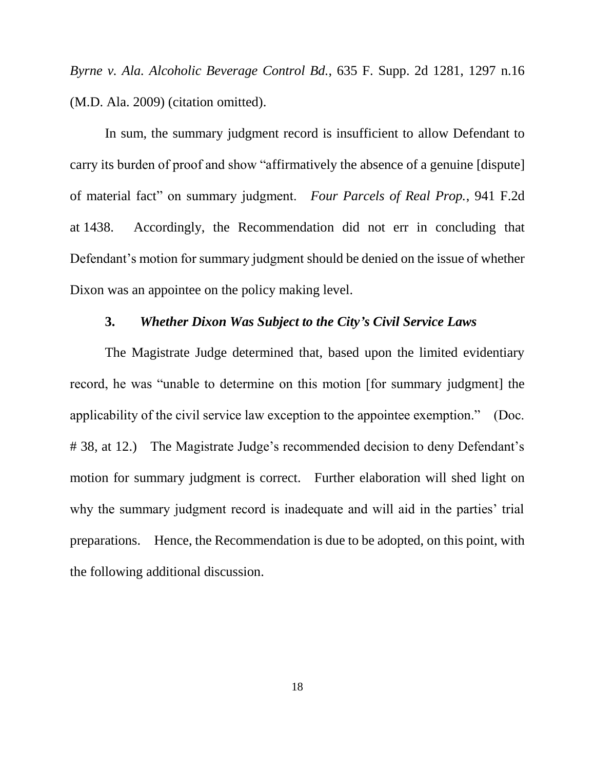*Byrne v. Ala. Alcoholic Beverage Control Bd.*, 635 F. Supp. 2d 1281, 1297 n.16 (M.D. Ala. 2009) (citation omitted).

In sum, the summary judgment record is insufficient to allow Defendant to carry its burden of proof and show "affirmatively the absence of a genuine [dispute] of material fact" on summary judgment. *Four Parcels of Real Prop.*, 941 F.2d at 1438. Accordingly, the Recommendation did not err in concluding that Defendant's motion for summary judgment should be denied on the issue of whether Dixon was an appointee on the policy making level.

# **3.** *Whether Dixon Was Subject to the City's Civil Service Laws*

The Magistrate Judge determined that, based upon the limited evidentiary record, he was "unable to determine on this motion [for summary judgment] the applicability of the civil service law exception to the appointee exemption." (Doc. # 38, at 12.) The Magistrate Judge's recommended decision to deny Defendant's motion for summary judgment is correct. Further elaboration will shed light on why the summary judgment record is inadequate and will aid in the parties' trial preparations. Hence, the Recommendation is due to be adopted, on this point, with the following additional discussion.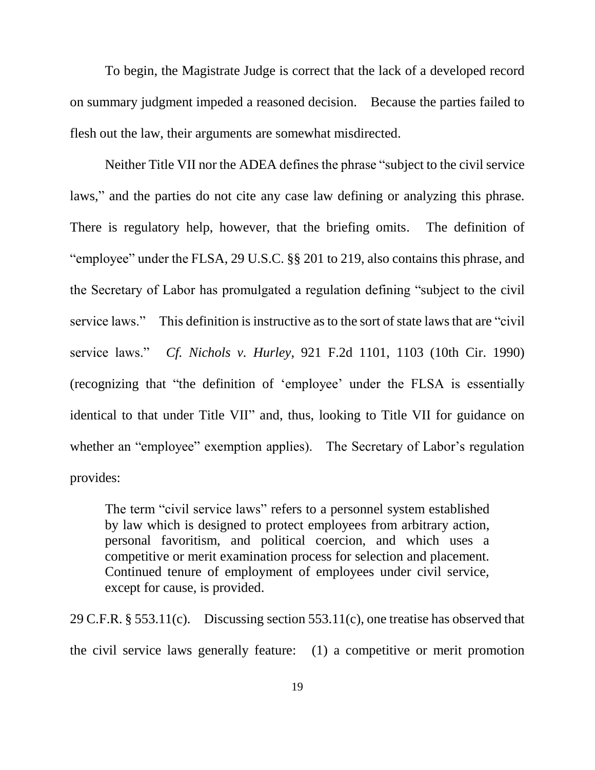To begin, the Magistrate Judge is correct that the lack of a developed record on summary judgment impeded a reasoned decision. Because the parties failed to flesh out the law, their arguments are somewhat misdirected.

Neither Title VII nor the ADEA defines the phrase "subject to the civil service laws," and the parties do not cite any case law defining or analyzing this phrase. There is regulatory help, however, that the briefing omits. The definition of "employee" under the FLSA, 29 U.S.C. §§ 201 to 219, also contains this phrase, and the Secretary of Labor has promulgated a regulation defining "subject to the civil service laws." This definition is instructive as to the sort of state laws that are "civil service laws." *Cf. Nichols v. Hurley*, 921 F.2d 1101, 1103 (10th Cir. 1990) (recognizing that "the definition of 'employee' under the FLSA is essentially identical to that under Title VII" and, thus, looking to Title VII for guidance on whether an "employee" exemption applies). The Secretary of Labor's regulation provides:

The term "civil service laws" refers to a personnel system established by law which is designed to protect employees from arbitrary action, personal favoritism, and political coercion, and which uses a competitive or merit examination process for selection and placement. Continued tenure of employment of employees under civil service, except for cause, is provided.

29 C.F.R. § 553.11(c). Discussing section 553.11(c), one treatise has observed that the civil service laws generally feature: (1) a competitive or merit promotion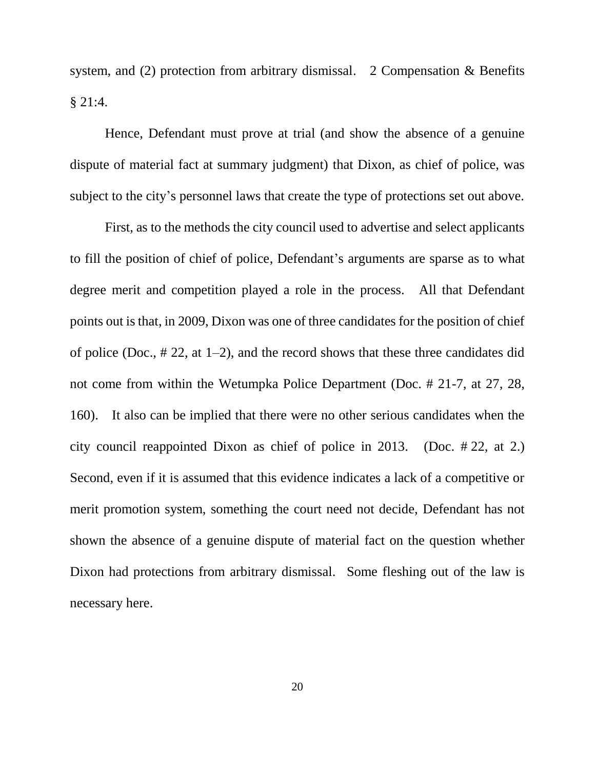system, and (2) protection from arbitrary dismissal. 2 Compensation & Benefits § 21:4.

Hence, Defendant must prove at trial (and show the absence of a genuine dispute of material fact at summary judgment) that Dixon, as chief of police, was subject to the city's personnel laws that create the type of protections set out above.

First, as to the methods the city council used to advertise and select applicants to fill the position of chief of police, Defendant's arguments are sparse as to what degree merit and competition played a role in the process. All that Defendant points out is that, in 2009, Dixon was one of three candidates for the position of chief of police (Doc., # 22, at 1–2), and the record shows that these three candidates did not come from within the Wetumpka Police Department (Doc. # 21-7, at 27, 28, 160). It also can be implied that there were no other serious candidates when the city council reappointed Dixon as chief of police in 2013. (Doc. # 22, at 2.) Second, even if it is assumed that this evidence indicates a lack of a competitive or merit promotion system, something the court need not decide, Defendant has not shown the absence of a genuine dispute of material fact on the question whether Dixon had protections from arbitrary dismissal. Some fleshing out of the law is necessary here.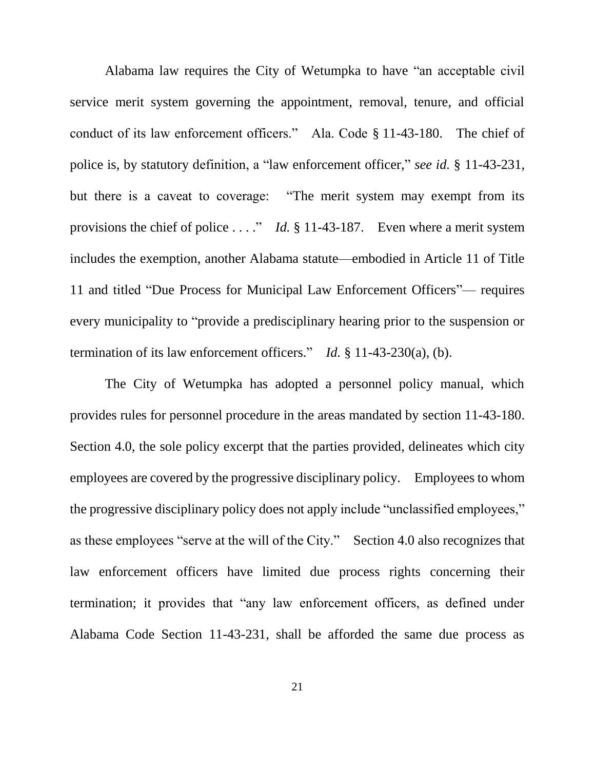Alabama law requires the City of Wetumpka to have "an acceptable civil service merit system governing the appointment, removal, tenure, and official conduct of its law enforcement officers." Ala. Code § 11-43-180. The chief of police is, by statutory definition, a "law enforcement officer," *see id.* § 11-43-231, but there is a caveat to coverage: "The merit system may exempt from its provisions the chief of police . . . ." *Id.* § 11-43-187. Even where a merit system includes the exemption, another Alabama statute—embodied in Article 11 of Title 11 and titled "Due Process for Municipal Law Enforcement Officers"— requires every municipality to "provide a predisciplinary hearing prior to the suspension or termination of its law enforcement officers." *Id.* § 11-43-230(a), (b).

The City of Wetumpka has adopted a personnel policy manual, which provides rules for personnel procedure in the areas mandated by section 11-43-180. Section 4.0, the sole policy excerpt that the parties provided, delineates which city employees are covered by the progressive disciplinary policy. Employees to whom the progressive disciplinary policy does not apply include "unclassified employees," as these employees "serve at the will of the City." Section 4.0 also recognizes that law enforcement officers have limited due process rights concerning their termination; it provides that "any law enforcement officers, as defined under Alabama Code Section 11-43-231, shall be afforded the same due process as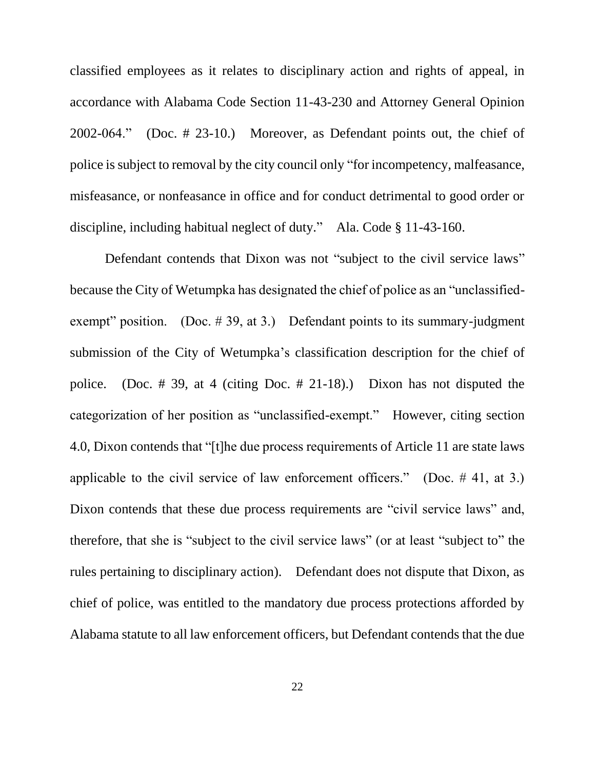classified employees as it relates to disciplinary action and rights of appeal, in accordance with Alabama Code Section 11-43-230 and Attorney General Opinion 2002-064." (Doc. # 23-10.) Moreover, as Defendant points out, the chief of police is subject to removal by the city council only "for incompetency, malfeasance, misfeasance, or nonfeasance in office and for conduct detrimental to good order or discipline, including habitual neglect of duty." Ala. Code § 11-43-160.

Defendant contends that Dixon was not "subject to the civil service laws" because the City of Wetumpka has designated the chief of police as an "unclassifiedexempt" position. (Doc.  $\#$  39, at 3.) Defendant points to its summary-judgment submission of the City of Wetumpka's classification description for the chief of police. (Doc. # 39, at 4 (citing Doc. # 21-18).) Dixon has not disputed the categorization of her position as "unclassified-exempt." However, citing section 4.0, Dixon contends that "[t]he due process requirements of Article 11 are state laws applicable to the civil service of law enforcement officers." (Doc.  $\#$  41, at 3.) Dixon contends that these due process requirements are "civil service laws" and, therefore, that she is "subject to the civil service laws" (or at least "subject to" the rules pertaining to disciplinary action). Defendant does not dispute that Dixon, as chief of police, was entitled to the mandatory due process protections afforded by Alabama statute to all law enforcement officers, but Defendant contends that the due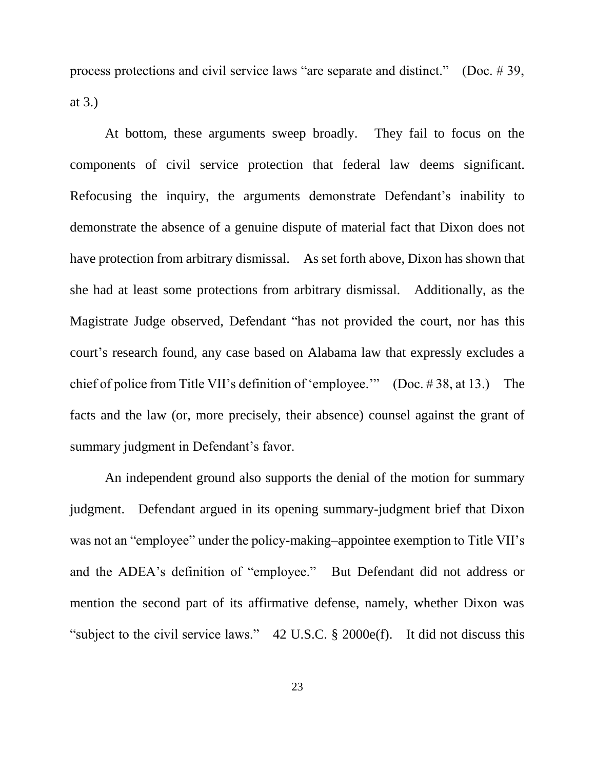process protections and civil service laws "are separate and distinct." (Doc. # 39, at 3.)

At bottom, these arguments sweep broadly. They fail to focus on the components of civil service protection that federal law deems significant. Refocusing the inquiry, the arguments demonstrate Defendant's inability to demonstrate the absence of a genuine dispute of material fact that Dixon does not have protection from arbitrary dismissal. As set forth above, Dixon has shown that she had at least some protections from arbitrary dismissal. Additionally, as the Magistrate Judge observed, Defendant "has not provided the court, nor has this court's research found, any case based on Alabama law that expressly excludes a chief of police from Title VII's definition of 'employee.'" (Doc. # 38, at 13.) The facts and the law (or, more precisely, their absence) counsel against the grant of summary judgment in Defendant's favor.

An independent ground also supports the denial of the motion for summary judgment. Defendant argued in its opening summary-judgment brief that Dixon was not an "employee" under the policy-making–appointee exemption to Title VII's and the ADEA's definition of "employee." But Defendant did not address or mention the second part of its affirmative defense, namely, whether Dixon was "subject to the civil service laws." 42 U.S.C. § 2000e(f). It did not discuss this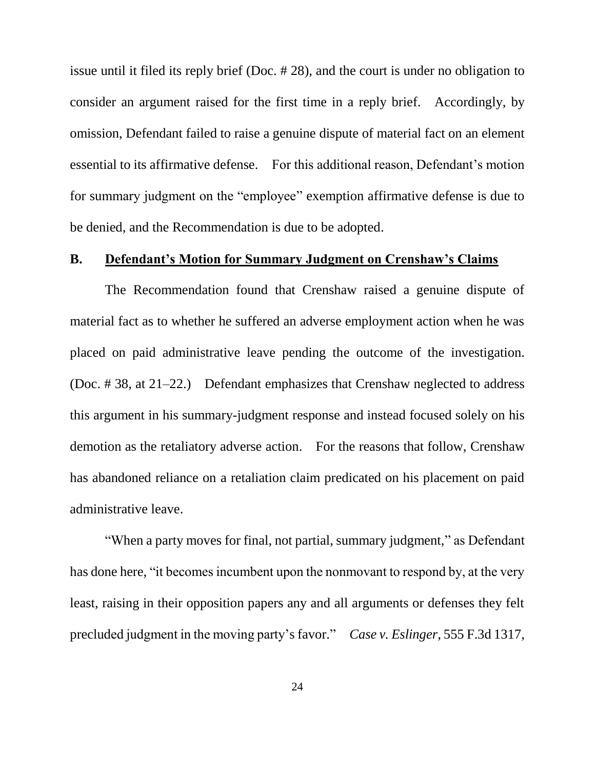issue until it filed its reply brief (Doc. # 28), and the court is under no obligation to consider an argument raised for the first time in a reply brief. Accordingly, by omission, Defendant failed to raise a genuine dispute of material fact on an element essential to its affirmative defense. For this additional reason, Defendant's motion for summary judgment on the "employee" exemption affirmative defense is due to be denied, and the Recommendation is due to be adopted.

## **B. Defendant's Motion for Summary Judgment on Crenshaw's Claims**

The Recommendation found that Crenshaw raised a genuine dispute of material fact as to whether he suffered an adverse employment action when he was placed on paid administrative leave pending the outcome of the investigation. (Doc. # 38, at 21–22.) Defendant emphasizes that Crenshaw neglected to address this argument in his summary-judgment response and instead focused solely on his demotion as the retaliatory adverse action. For the reasons that follow, Crenshaw has abandoned reliance on a retaliation claim predicated on his placement on paid administrative leave.

"When a party moves for final, not partial, summary judgment," as Defendant has done here, "it becomes incumbent upon the nonmovant to respond by, at the very least, raising in their opposition papers any and all arguments or defenses they felt precluded judgment in the moving party's favor." *Case v. Eslinger*, 555 F.3d 1317,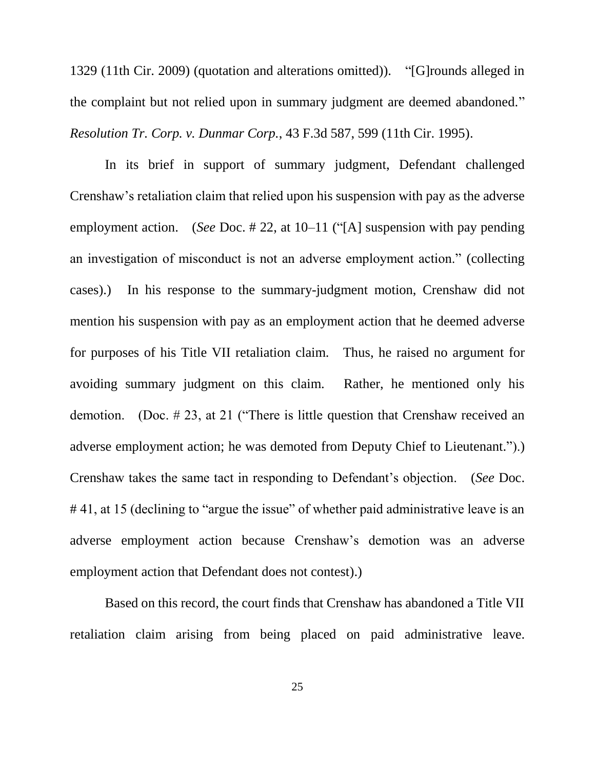1329 (11th Cir. 2009) (quotation and alterations omitted)). "[G]rounds alleged in the complaint but not relied upon in summary judgment are deemed abandoned." *Resolution Tr. Corp. v. Dunmar Corp.*, 43 F.3d 587, 599 (11th Cir. 1995).

In its brief in support of summary judgment, Defendant challenged Crenshaw's retaliation claim that relied upon his suspension with pay as the adverse employment action. (*See* Doc. # 22, at 10–11 ("[A] suspension with pay pending an investigation of misconduct is not an adverse employment action." (collecting cases).) In his response to the summary-judgment motion, Crenshaw did not mention his suspension with pay as an employment action that he deemed adverse for purposes of his Title VII retaliation claim. Thus, he raised no argument for avoiding summary judgment on this claim. Rather, he mentioned only his demotion. (Doc. # 23, at 21 ("There is little question that Crenshaw received an adverse employment action; he was demoted from Deputy Chief to Lieutenant.").) Crenshaw takes the same tact in responding to Defendant's objection. (*See* Doc. #41, at 15 (declining to "argue the issue" of whether paid administrative leave is an adverse employment action because Crenshaw's demotion was an adverse employment action that Defendant does not contest).)

Based on this record, the court finds that Crenshaw has abandoned a Title VII retaliation claim arising from being placed on paid administrative leave.